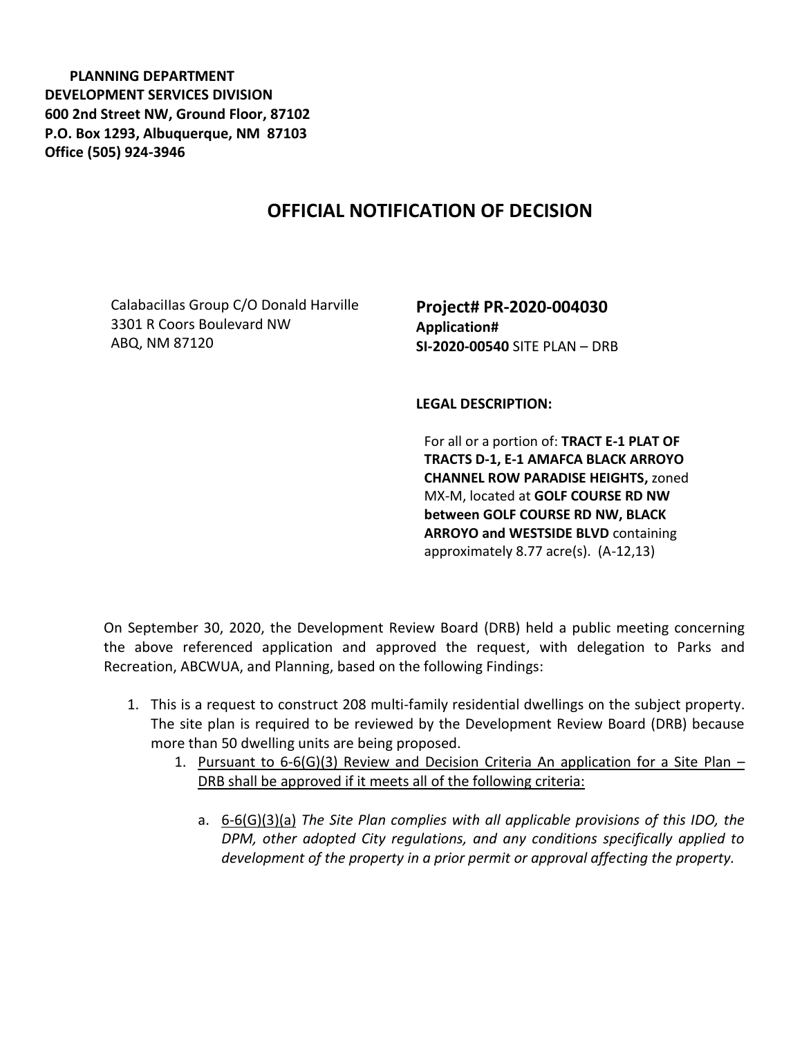**PLANNING DEPARTMENT DEVELOPMENT SERVICES DIVISION 600 2nd Street NW, Ground Floor, 87102 P.O. Box 1293, Albuquerque, NM 87103 Office (505) 924-3946** 

## **OFFICIAL NOTIFICATION OF DECISION**

CalabaciIIas Group C/O Donald Harville 3301 R Coors Boulevard NW ABQ, NM 87120

**Project# PR-2020-004030 Application# SI-2020-00540** SITE PLAN – DRB

## **LEGAL DESCRIPTION:**

For all or a portion of: **TRACT E-1 PLAT OF TRACTS D-1, E-1 AMAFCA BLACK ARROYO CHANNEL ROW PARADISE HEIGHTS,** zoned MX-M, located at **GOLF COURSE RD NW between GOLF COURSE RD NW, BLACK ARROYO and WESTSIDE BLVD** containing approximately 8.77 acre(s). (A-12,13)

On September 30, 2020, the Development Review Board (DRB) held a public meeting concerning the above referenced application and approved the request, with delegation to Parks and Recreation, ABCWUA, and Planning, based on the following Findings:

- 1. This is a request to construct 208 multi-family residential dwellings on the subject property. The site plan is required to be reviewed by the Development Review Board (DRB) because more than 50 dwelling units are being proposed.
	- 1. Pursuant to 6-6(G)(3) Review and Decision Criteria An application for a Site Plan -DRB shall be approved if it meets all of the following criteria:
		- a. 6-6(G)(3)(a) *The Site Plan complies with all applicable provisions of this IDO, the DPM, other adopted City regulations, and any conditions specifically applied to development of the property in a prior permit or approval affecting the property.*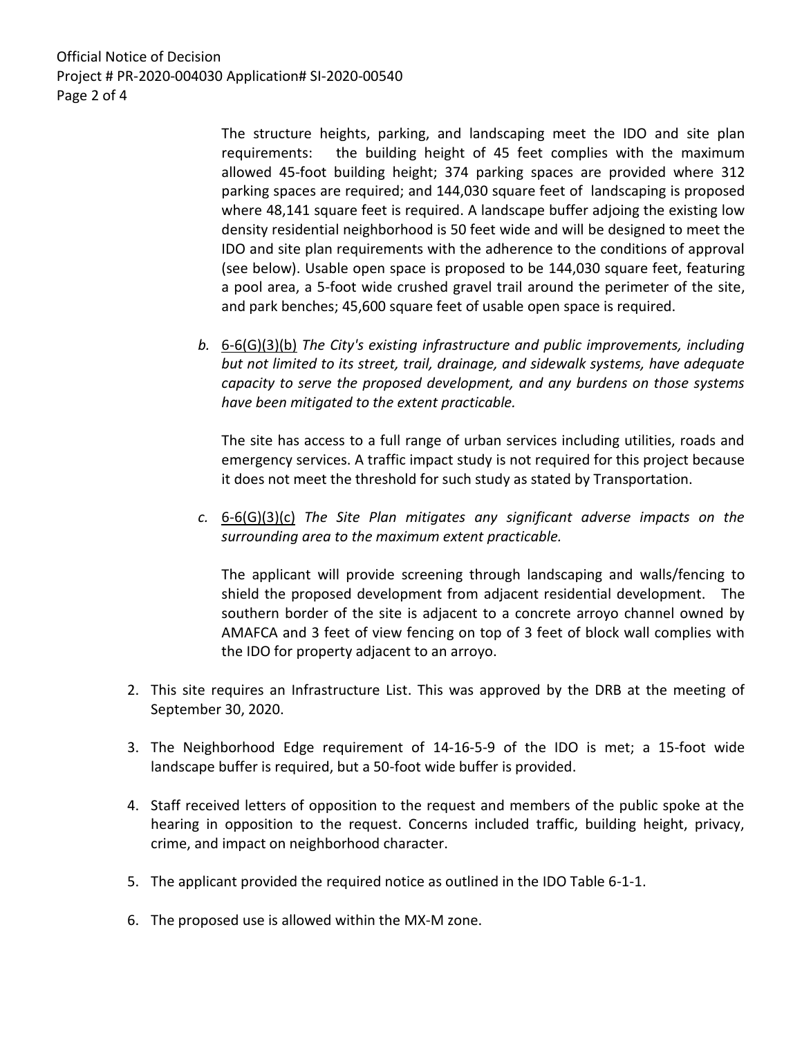Official Notice of Decision Project # PR-2020-004030 Application# SI-2020-00540 Page 2 of 4

> The structure heights, parking, and landscaping meet the IDO and site plan requirements: the building height of 45 feet complies with the maximum allowed 45-foot building height; 374 parking spaces are provided where 312 parking spaces are required; and 144,030 square feet of landscaping is proposed where 48,141 square feet is required. A landscape buffer adjoing the existing low density residential neighborhood is 50 feet wide and will be designed to meet the IDO and site plan requirements with the adherence to the conditions of approval (see below). Usable open space is proposed to be 144,030 square feet, featuring a pool area, a 5-foot wide crushed gravel trail around the perimeter of the site, and park benches; 45,600 square feet of usable open space is required.

*b.* 6-6(G)(3)(b) *The City's existing infrastructure and public improvements, including but not limited to its street, trail, drainage, and sidewalk systems, have adequate capacity to serve the proposed development, and any burdens on those systems have been mitigated to the extent practicable.* 

The site has access to a full range of urban services including utilities, roads and emergency services. A traffic impact study is not required for this project because it does not meet the threshold for such study as stated by Transportation.

*c.* 6-6(G)(3)(c) *The Site Plan mitigates any significant adverse impacts on the surrounding area to the maximum extent practicable.* 

The applicant will provide screening through landscaping and walls/fencing to shield the proposed development from adjacent residential development. The southern border of the site is adjacent to a concrete arroyo channel owned by AMAFCA and 3 feet of view fencing on top of 3 feet of block wall complies with the IDO for property adjacent to an arroyo.

- 2. This site requires an Infrastructure List. This was approved by the DRB at the meeting of September 30, 2020.
- 3. The Neighborhood Edge requirement of 14-16-5-9 of the IDO is met; a 15-foot wide landscape buffer is required, but a 50-foot wide buffer is provided.
- 4. Staff received letters of opposition to the request and members of the public spoke at the hearing in opposition to the request. Concerns included traffic, building height, privacy, crime, and impact on neighborhood character.
- 5. The applicant provided the required notice as outlined in the IDO Table 6-1-1.
- 6. The proposed use is allowed within the MX-M zone.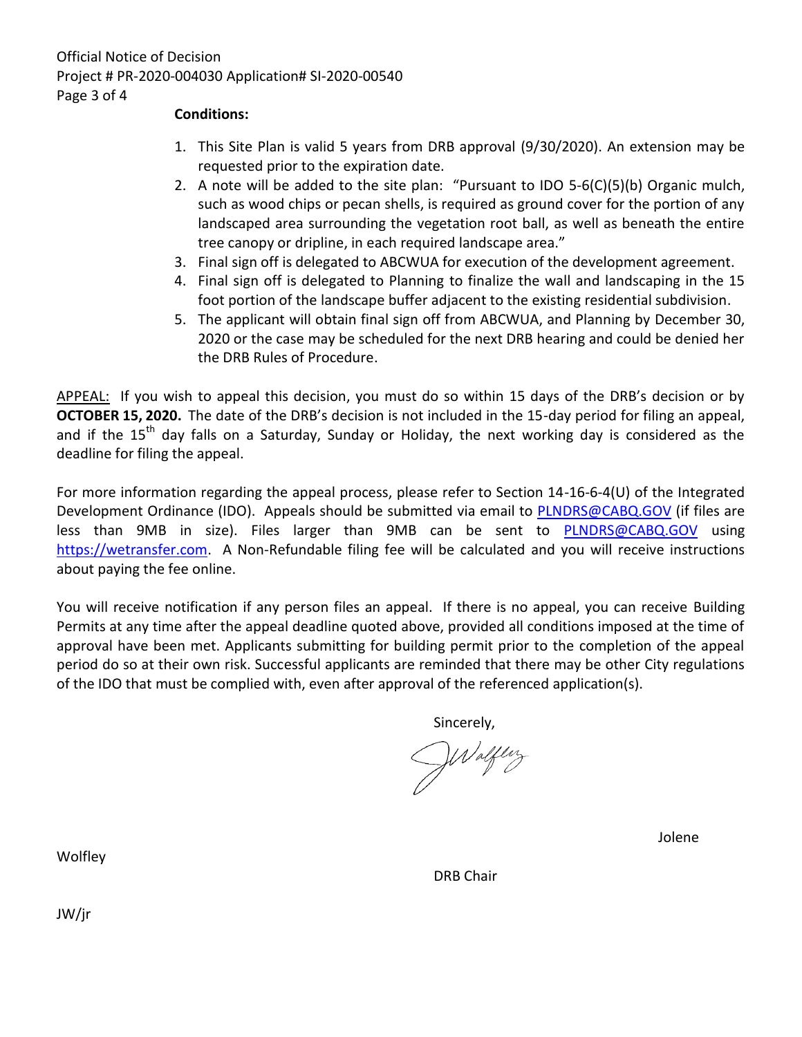## **Conditions:**

- 1. This Site Plan is valid 5 years from DRB approval (9/30/2020). An extension may be requested prior to the expiration date.
- 2. A note will be added to the site plan: "Pursuant to IDO 5-6(C)(5)(b) Organic mulch, such as wood chips or pecan shells, is required as ground cover for the portion of any landscaped area surrounding the vegetation root ball, as well as beneath the entire tree canopy or dripline, in each required landscape area."
- 3. Final sign off is delegated to ABCWUA for execution of the development agreement.
- 4. Final sign off is delegated to Planning to finalize the wall and landscaping in the 15 foot portion of the landscape buffer adjacent to the existing residential subdivision.
- 5. The applicant will obtain final sign off from ABCWUA, and Planning by December 30, 2020 or the case may be scheduled for the next DRB hearing and could be denied her the DRB Rules of Procedure.

APPEAL: If you wish to appeal this decision, you must do so within 15 days of the DRB's decision or by **OCTOBER 15, 2020.** The date of the DRB's decision is not included in the 15-day period for filing an appeal, and if the  $15<sup>th</sup>$  day falls on a Saturday, Sunday or Holiday, the next working day is considered as the deadline for filing the appeal.

For more information regarding the appeal process, please refer to Section 14-16-6-4(U) of the Integrated Development Ordinance (IDO). Appeals should be submitted via email to **PLNDRS@CABQ.GOV** (if files are less than 9MB in size). Files larger than 9MB can be sent to [PLNDRS@CABQ.GOV](mailto:PLNDRS@CABQ.GOV) using [https://wetransfer.com.](https://wetransfer.com/) A Non-Refundable filing fee will be calculated and you will receive instructions about paying the fee online.

You will receive notification if any person files an appeal. If there is no appeal, you can receive Building Permits at any time after the appeal deadline quoted above, provided all conditions imposed at the time of approval have been met. Applicants submitting for building permit prior to the completion of the appeal period do so at their own risk. Successful applicants are reminded that there may be other City regulations of the IDO that must be complied with, even after approval of the referenced application(s).

Sincerely,

Waltery

Jolene

DRB Chair

**Wolfley** 

JW/jr